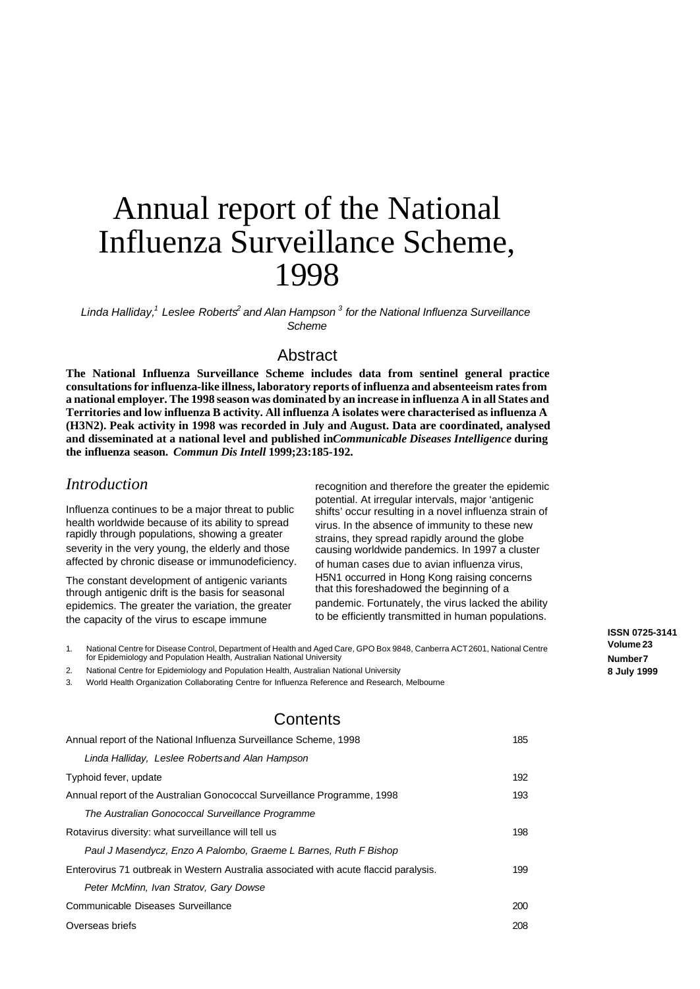# Annual report of the National Influenza Surveillance Scheme, 1998

*Linda Halliday,<sup>1</sup> Leslee Roberts<sup>2</sup> and Alan Hampson <sup>3</sup> for the National Influenza Surveillance Scheme*

# **Abstract**

**The National Influenza Surveillance Scheme includes data from sentinel general practice consultations for influenza-like illness, laboratory reports of influenza and absenteeism rates from a national employer. The 1998 season was dominated by an increase in influenza A in all States and Territories and low influenza B activity. All influenza A isolates were characterised as influenza A (H3N2). Peak activity in 1998 was recorded in July and August. Data are coordinated, analysed and disseminated at a national level and published in** *Communicable Diseases Intelligence* **during the influenza season.** *Commun Dis Intell* **1999;23:185-192.**

## *Introduction*

Influenza continues to be a major threat to public health worldwide because of its ability to spread rapidly through populations, showing a greater severity in the very young, the elderly and those affected by chronic disease or immunodeficiency.

The constant development of antigenic variants through antigenic drift is the basis for seasonal epidemics. The greater the variation, the greater the capacity of the virus to escape immune

recognition and therefore the greater the epidemic potential. At irregular intervals, major 'antigenic shifts' occur resulting in a novel influenza strain of virus. In the absence of immunity to these new strains, they spread rapidly around the globe causing worldwide pandemics. In 1997 a cluster of human cases due to avian influenza virus, H5N1 occurred in Hong Kong raising concerns that this foreshadowed the beginning of a pandemic. Fortunately, the virus lacked the ability to be efficiently transmitted in human populations.

1. National Centre for Disease Control, Department of Health and Aged Care, GPO Box 9848, Canberra ACT 2601, National Centre for Epidemiology and Population Health, Australian National University

2. National Centre for Epidemiology and Population Health, Australian National University

3. World Health Organization Collaborating Centre for Influenza Reference and Research, Melbourne

# **Contents**

| Annual report of the National Influenza Surveillance Scheme, 1998                     |     |  |
|---------------------------------------------------------------------------------------|-----|--|
| Linda Halliday, Leslee Robertsand Alan Hampson                                        |     |  |
| Typhoid fever, update                                                                 | 192 |  |
| Annual report of the Australian Gonococcal Surveillance Programme, 1998               |     |  |
| The Australian Gonococcal Surveillance Programme                                      |     |  |
| Rotavirus diversity: what surveillance will tell us                                   | 198 |  |
| Paul J Masendycz, Enzo A Palombo, Graeme L Barnes, Ruth F Bishop                      |     |  |
| Enterovirus 71 outbreak in Western Australia associated with acute flaccid paralysis. |     |  |
| Peter McMinn, Ivan Stratov, Gary Dowse                                                |     |  |
| Communicable Diseases Surveillance                                                    |     |  |
| Overseas briefs                                                                       |     |  |

**ISSN 0725-3141 Volume 23 Number 7 8 July 1999**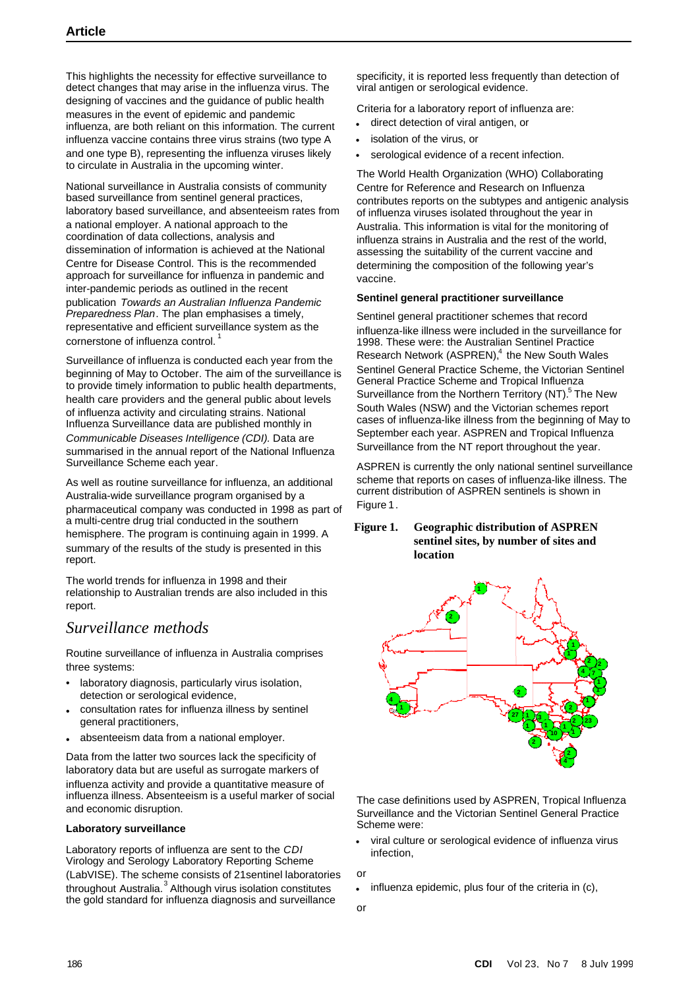This highlights the necessity for effective surveillance to detect changes that may arise in the influenza virus. The designing of vaccines and the guidance of public health measures in the event of epidemic and pandemic influenza, are both reliant on this information. The current influenza vaccine contains three virus strains (two type A and one type B), representing the influenza viruses likely to circulate in Australia in the upcoming winter.

National surveillance in Australia consists of community based surveillance from sentinel general practices, laboratory based surveillance, and absenteeism rates from a national employer. A national approach to the coordination of data collections, analysis and dissemination of information is achieved at the National Centre for Disease Control. This is the recommended approach for surveillance for influenza in pandemic and inter-pandemic periods as outlined in the recent publication *Towards an Australian Influenza Pandemic Preparedness Plan*. The plan emphasises a timely, representative and efficient surveillance system as the cornerstone of influenza control.<sup>1</sup>

Surveillance of influenza is conducted each year from the beginning of May to October. The aim of the surveillance is to provide timely information to public health departments, health care providers and the general public about levels of influenza activity and circulating strains. National Influenza Surveillance data are published monthly in *Communicable Diseases Intelligence (CDI).* Data are summarised in the annual report of the National Influenza Surveillance Scheme each year*.*

As well as routine surveillance for influenza, an additional Australia-wide surveillance program organised by a pharmaceutical company was conducted in 1998 as part of a multi-centre drug trial conducted in the southern hemisphere. The program is continuing again in 1999. A summary of the results of the study is presented in this report.

The world trends for influenza in 1998 and their relationship to Australian trends are also included in this report.

# *Surveillance methods*

Routine surveillance of influenza in Australia comprises three systems:

- laboratory diagnosis, particularly virus isolation, detection or serological evidence,
- consultation rates for influenza illness by sentinel general practitioners,
- absenteeism data from a national employer.

Data from the latter two sources lack the specificity of laboratory data but are useful as surrogate markers of influenza activity and provide a quantitative measure of influenza illness. Absenteeism is a useful marker of social and economic disruption.

#### **Laboratory surveillance**

Laboratory reports of influenza are sent to the *CDI* Virology and Serology Laboratory Reporting Scheme (LabVISE). The scheme consists of 21sentinel laboratories throughout Australia.<sup>3</sup> Although virus isolation constitutes the gold standard for influenza diagnosis and surveillance

specificity, it is reported less frequently than detection of viral antigen or serological evidence.

Criteria for a laboratory report of influenza are:

- direct detection of viral antigen, or
- isolation of the virus, or
- serological evidence of a recent infection.

The World Health Organization (WHO) Collaborating Centre for Reference and Research on Influenza contributes reports on the subtypes and antigenic analysis of influenza viruses isolated throughout the year in Australia. This information is vital for the monitoring of influenza strains in Australia and the rest of the world, assessing the suitability of the current vaccine and determining the composition of the following year's vaccine.

#### **Sentinel general practitioner surveillance**

Sentinel general practitioner schemes that record influenza-like illness were included in the surveillance for 1998. These were: the Australian Sentinel Practice Research Network (ASPREN),<sup>4</sup> the New South Wales Sentinel General Practice Scheme, the Victorian Sentinel General Practice Scheme and Tropical Influenza Surveillance from the Northern Territory (NT).<sup>5</sup> The New South Wales (NSW) and the Victorian schemes report cases of influenza-like illness from the beginning of May to September each year. ASPREN and Tropical Influenza Surveillance from the NT report throughout the year.

ASPREN is currently the only national sentinel surveillance scheme that reports on cases of influenza-like illness. The current distribution of ASPREN sentinels is shown in Figure 1.

#### **Figure 1. Geographic distribution of ASPREN sentinel sites, by number of sites and location**



The case definitions used by ASPREN, Tropical Influenza Surveillance and the Victorian Sentinel General Practice Scheme were:

• viral culture or serological evidence of influenza virus infection,

or

- influenza epidemic, plus four of the criteria in (c),
- or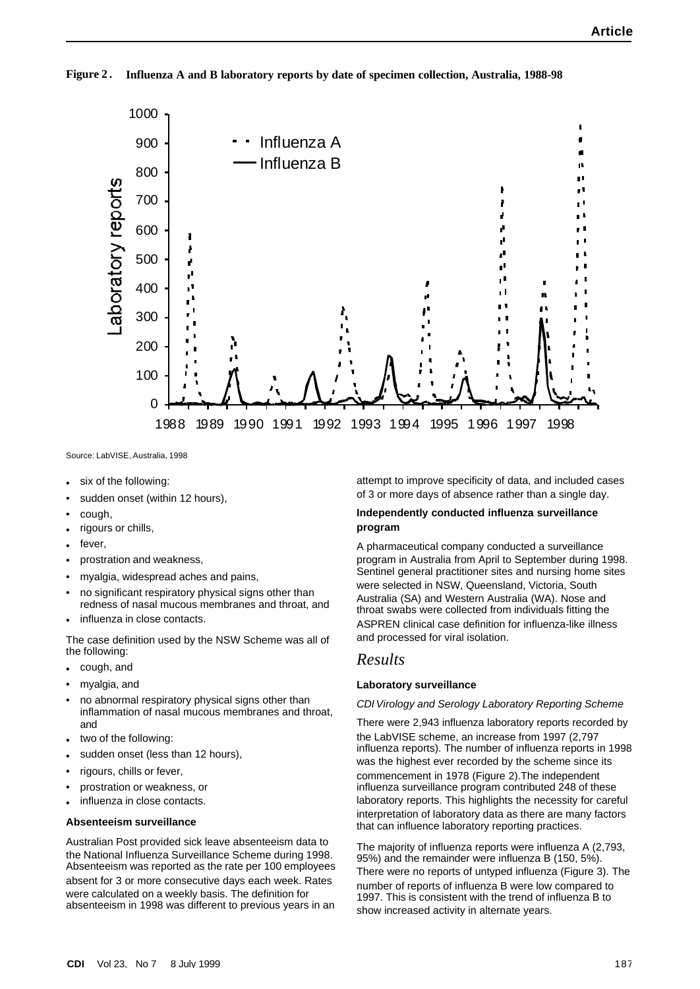**Figure 2 . Influenza A and B laboratory reports by date of specimen collection, Australia, 1988-98**



Source: LabVISE, Australia, 1998

- six of the following:
- sudden onset (within 12 hours),
- cough,
- rigours or chills,
- fever
- prostration and weakness,
- myalgia, widespread aches and pains,
- no significant respiratory physical signs other than redness of nasal mucous membranes and throat, and
- influenza in close contacts.

The case definition used by the NSW Scheme was all of the following:

- cough, and
- myalgia, and
- no abnormal respiratory physical signs other than inflammation of nasal mucous membranes and throat, and
- two of the following:
- sudden onset (less than 12 hours),
- rigours, chills or fever,
- prostration or weakness, or
- influenza in close contacts.

#### **Absenteeism surveillance**

Australian Post provided sick leave absenteeism data to the National Influenza Surveillance Scheme during 1998. Absenteeism was reported as the rate per 100 employees absent for 3 or more consecutive days each week. Rates were calculated on a weekly basis. The definition for absenteeism in 1998 was different to previous years in an attempt to improve specificity of data, and included cases of 3 or more days of absence rather than a single day.

#### **Independently conducted influenza surveillance program**

A pharmaceutical company conducted a surveillance program in Australia from April to September during 1998. Sentinel general practitioner sites and nursing home sites were selected in NSW, Queensland, Victoria, South Australia (SA) and Western Australia (WA). Nose and throat swabs were collected from individuals fitting the ASPREN clinical case definition for influenza-like illness and processed for viral isolation.

#### *Results*

#### **Laboratory surveillance**

#### *CDI Virology and Serology Laboratory Reporting Scheme*

There were 2,943 influenza laboratory reports recorded by the LabVISE scheme, an increase from 1997 (2,797 influenza reports). The number of influenza reports in 1998 was the highest ever recorded by the scheme since its commencement in 1978 (Figure 2).The independent influenza surveillance program contributed 248 of these laboratory reports. This highlights the necessity for careful interpretation of laboratory data as there are many factors that can influence laboratory reporting practices.

The majority of influenza reports were influenza A (2,793, 95%) and the remainder were influenza B (150, 5%). There were no reports of untyped influenza (Figure 3). The number of reports of influenza B were low compared to 1997. This is consistent with the trend of influenza B to show increased activity in alternate years.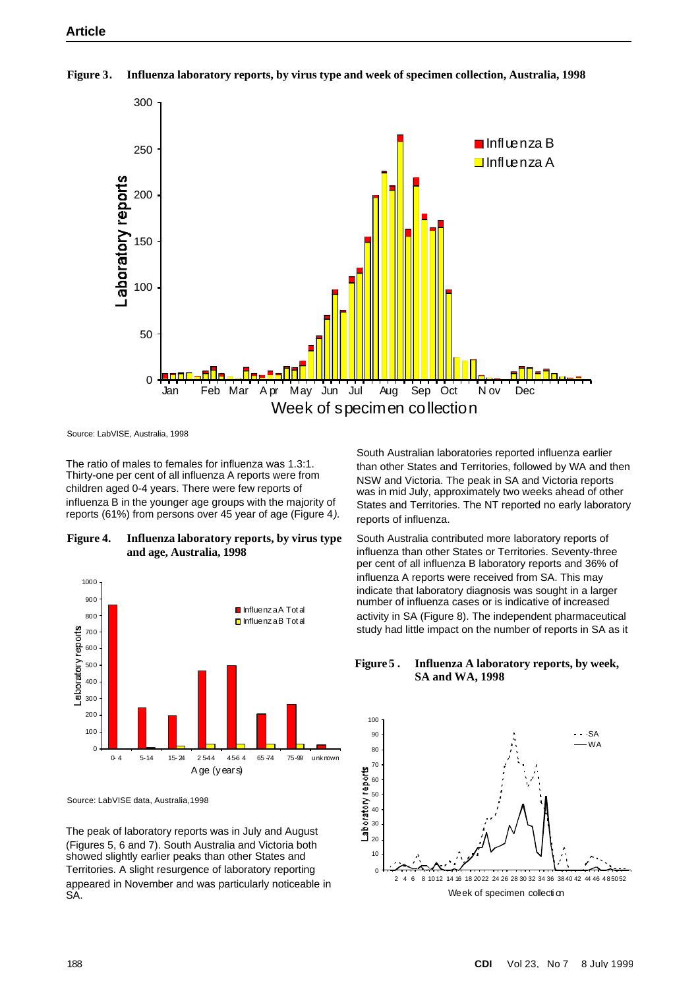

**Figure 3. Influenza laboratory reports, by virus type and week of specimen collection, Australia, 1998**

Source: LabVISE, Australia, 1998

The ratio of males to females for influenza was 1.3:1. Thirty-one per cent of all influenza A reports were from children aged 0-4 years. There were few reports of influenza B in the younger age groups with the majority of reports (61%) from persons over 45 year of age (Figure 4*).*

**Figure 4. Influenza laboratory reports, by virus type and age, Australia, 1998**



Source: LabVISE data, Australia,1998

The peak of laboratory reports was in July and August (Figures 5, 6 and 7). South Australia and Victoria both showed slightly earlier peaks than other States and Territories. A slight resurgence of laboratory reporting appeared in November and was particularly noticeable in SA.

South Australian laboratories reported influenza earlier than other States and Territories, followed by WA and then NSW and Victoria. The peak in SA and Victoria reports was in mid July, approximately two weeks ahead of other States and Territories. The NT reported no early laboratory reports of influenza.

South Australia contributed more laboratory reports of influenza than other States or Territories. Seventy-three per cent of all influenza B laboratory reports and 36% of influenza A reports were received from SA. This may indicate that laboratory diagnosis was sought in a larger number of influenza cases or is indicative of increased activity in SA (Figure 8). The independent pharmaceutical study had little impact on the number of reports in SA as it

**Figure 5 . Influenza A laboratory reports, by week, SA and WA, 1998**

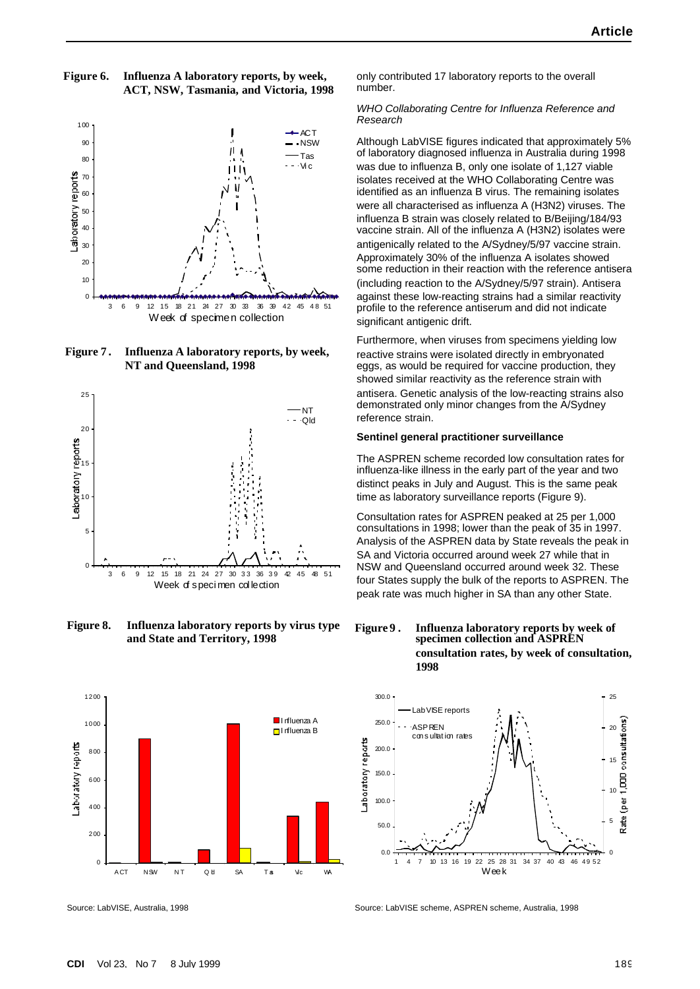#### **Figure 6. Influenza A laboratory reports, by week, ACT, NSW, Tasmania, and Victoria, 1998**



**Figure 7 . Influenza A laboratory reports, by week, NT and Queensland, 1998**



**Figure 8. Influenza laboratory reports by virus type and State and Territory, 1998**



Source: LabVISE, Australia, 1998

only contributed 17 laboratory reports to the overall number.

#### *WHO Collaborating Centre for Influenza Reference and Research*

Although LabVISE figures indicated that approximately 5% of laboratory diagnosed influenza in Australia during 1998 was due to influenza B, only one isolate of 1,127 viable isolates received at the WHO Collaborating Centre was identified as an influenza B virus. The remaining isolates were all characterised as influenza A (H3N2) viruses. The influenza B strain was closely related to B/Beijing/184/93 vaccine strain. All of the influenza A (H3N2) isolates were antigenically related to the A/Sydney/5/97 vaccine strain. Approximately 30% of the influenza A isolates showed some reduction in their reaction with the reference antisera (including reaction to the A/Sydney/5/97 strain). Antisera against these low-reacting strains had a similar reactivity profile to the reference antiserum and did not indicate significant antigenic drift.

Furthermore, when viruses from specimens yielding low reactive strains were isolated directly in embryonated eggs, as would be required for vaccine production, they showed similar reactivity as the reference strain with antisera. Genetic analysis of the low-reacting strains also demonstrated only minor changes from the A/Sydney reference strain.

#### **Sentinel general practitioner surveillance**

The ASPREN scheme recorded low consultation rates for influenza-like illness in the early part of the year and two distinct peaks in July and August. This is the same peak time as laboratory surveillance reports (Figure 9).

Consultation rates for ASPREN peaked at 25 per 1,000 consultations in 1998; lower than the peak of 35 in 1997. Analysis of the ASPREN data by State reveals the peak in SA and Victoria occurred around week 27 while that in NSW and Queensland occurred around week 32. These four States supply the bulk of the reports to ASPREN. The peak rate was much higher in SA than any other State.

#### **Figure 9 . Influenza laboratory reports by week of specimen collection and ASPREN consultation rates, by week of consultation, 1998**



Source: LabVISE scheme, ASPREN scheme, Australia, 1998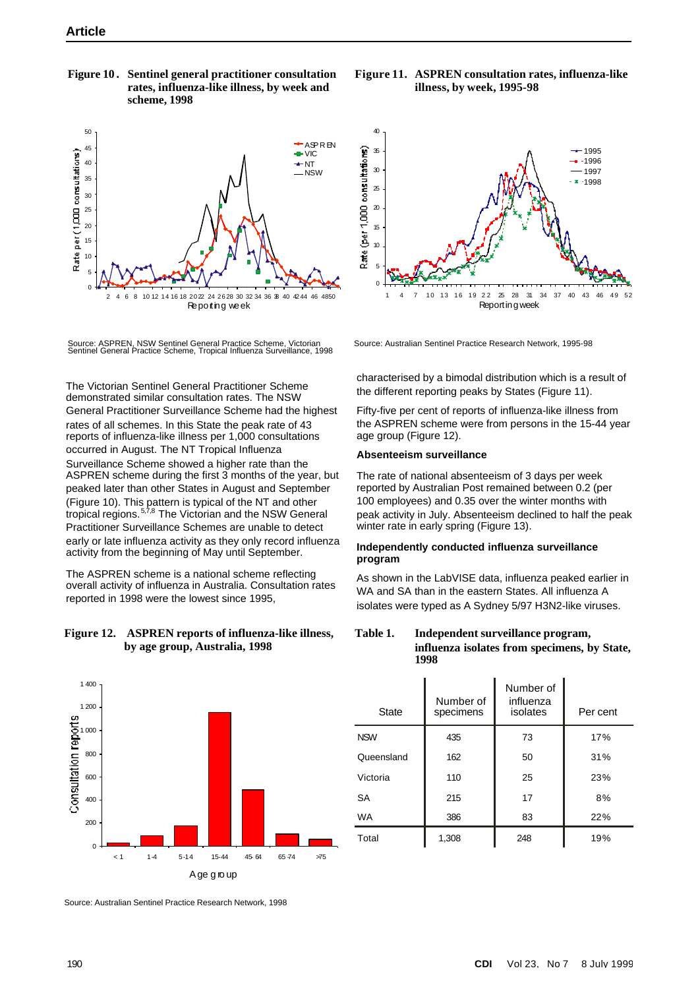**Figure 10 . Sentinel general practitioner consultation rates, influenza-like illness, by week and scheme, 1998**



Source: ASPREN, NSW Sentinel General Practice Scheme, Victorian Sentinel General Practice Scheme, Tropical Influenza Surveillance, 1998

The Victorian Sentinel General Practitioner Scheme demonstrated similar consultation rates. The NSW General Practitioner Surveillance Scheme had the highest rates of all schemes. In this State the peak rate of 43 reports of influenza-like illness per 1,000 consultations occurred in August. The NT Tropical Influenza Surveillance Scheme showed a higher rate than the ASPREN scheme during the first 3 months of the year, but peaked later than other States in August and September (Figure 10). This pattern is typical of the NT and other tropical regions.<sup>5,7,8</sup> The Victorian and the NSW General Practitioner Surveillance Schemes are unable to detect early or late influenza activity as they only record influenza activity from the beginning of May until September.

The ASPREN scheme is a national scheme reflecting overall activity of influenza in Australia. Consultation rates reported in 1998 were the lowest since 1995,

#### **Figure 12. ASPREN reports of influenza-like illness, by age group, Australia, 1998**



Source: Australian Sentinel Practice Research Network, 1998

**Figure 11. ASPREN consultation rates, influenza-like illness, by week, 1995-98**



Source: Australian Sentinel Practice Research Network, 1995-98

characterised by a bimodal distribution which is a result of the different reporting peaks by States (Figure 11).

Fifty-five per cent of reports of influenza-like illness from the ASPREN scheme were from persons in the 15-44 year age group (Figure 12).

#### **Absenteeism surveillance**

The rate of national absenteeism of 3 days per week reported by Australian Post remained between 0.2 (per 100 employees) and 0.35 over the winter months with peak activity in July. Absenteeism declined to half the peak winter rate in early spring (Figure 13).

#### **Independently conducted influenza surveillance program**

As shown in the LabVISE data, influenza peaked earlier in WA and SA than in the eastern States. All influenza A isolates were typed as A Sydney 5/97 H3N2-like viruses.

**Table 1. Independent surveillance program, influenza isolates from specimens, by State, 1998**

| <b>State</b> | Number of<br>specimens | Number of<br>influenza<br>isolates | Per cent |
|--------------|------------------------|------------------------------------|----------|
| <b>NSW</b>   | 435                    | 73                                 | 17%      |
| Queensland   | 162                    | 50                                 | 31%      |
| Victoria     | 110                    | 25                                 | 23%      |
| SA           | 215                    | 17                                 | 8%       |
| <b>WA</b>    | 386                    | 83                                 | 22%      |
| Total        | 1,308                  | 248                                | 19%      |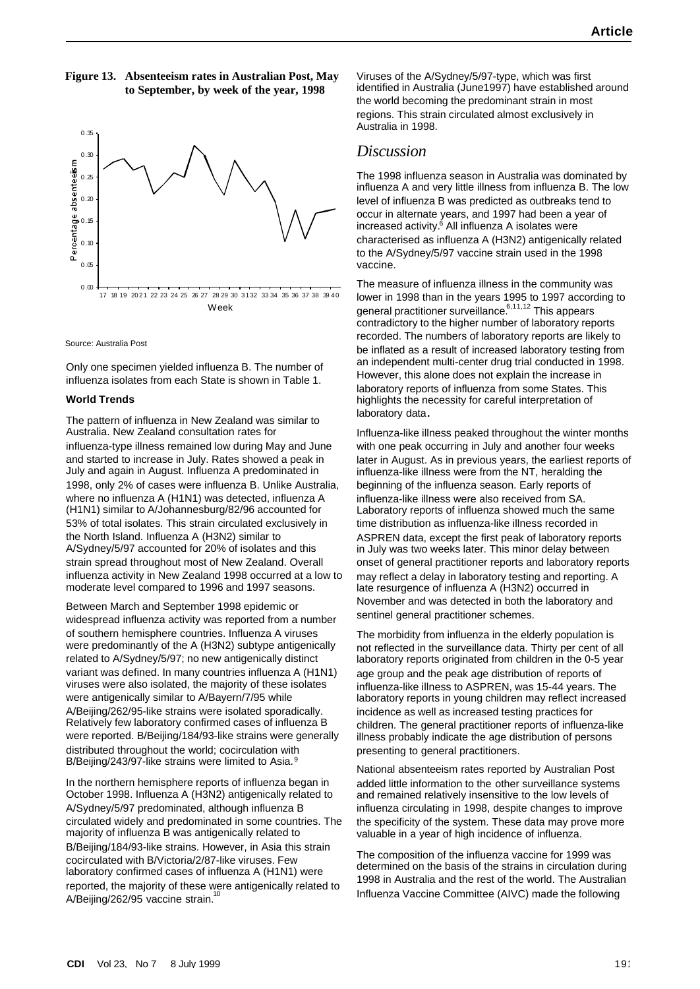#### **Figure 13. Absenteeism rates in Australian Post, May to September, by week of the year, 1998**



Source: Australia Post

Only one specimen yielded influenza B. The number of influenza isolates from each State is shown in Table 1.

#### **World Trends**

The pattern of influenza in New Zealand was similar to Australia. New Zealand consultation rates for influenza-type illness remained low during May and June and started to increase in July. Rates showed a peak in July and again in August. Influenza A predominated in 1998, only 2% of cases were influenza B. Unlike Australia, where no influenza A (H1N1) was detected, influenza A (H1N1) similar to A/Johannesburg/82/96 accounted for 53% of total isolates. This strain circulated exclusively in the North Island. Influenza A (H3N2) similar to A/Sydney/5/97 accounted for 20% of isolates and this strain spread throughout most of New Zealand. Overall influenza activity in New Zealand 1998 occurred at a low to moderate level compared to 1996 and 1997 seasons.

Between March and September 1998 epidemic or widespread influenza activity was reported from a number of southern hemisphere countries. Influenza A viruses were predominantly of the A (H3N2) subtype antigenically related to A/Sydney/5/97; no new antigenically distinct variant was defined. In many countries influenza A (H1N1) viruses were also isolated, the majority of these isolates were antigenically similar to A/Bayern/7/95 while A/Beijing/262/95-like strains were isolated sporadically. Relatively few laboratory confirmed cases of influenza B were reported. B/Beijing/184/93-like strains were generally distributed throughout the world; cocirculation with B/Beijing/243/97-like strains were limited to Asia.<sup>9</sup>

In the northern hemisphere reports of influenza began in October 1998. Influenza A (H3N2) antigenically related to A/Sydney/5/97 predominated, although influenza B circulated widely and predominated in some countries. The majority of influenza B was antigenically related to B/Beijing/184/93-like strains. However, in Asia this strain cocirculated with B/Victoria/2/87-like viruses. Few laboratory confirmed cases of influenza A (H1N1) were reported, the majority of these were antigenically related to A/Beijing/262/95 vaccine strain.<sup>1</sup>

Viruses of the A/Sydney/5/97-type, which was first identified in Australia (June1997) have established around the world becoming the predominant strain in most regions. This strain circulated almost exclusively in Australia in 1998.

### *Discussion*

The 1998 influenza season in Australia was dominated by influenza A and very little illness from influenza B. The low level of influenza B was predicted as outbreaks tend to occur in alternate years, and 1997 had been a year of increased activity.<sup>6</sup> All influenza A isolates were characterised as influenza A (H3N2) antigenically related to the A/Sydney/5/97 vaccine strain used in the 1998 vaccine.

The measure of influenza illness in the community was lower in 1998 than in the years 1995 to 1997 according to general practitioner surveillance.<sup>6,11,12</sup> This appears contradictory to the higher number of laboratory reports recorded. The numbers of laboratory reports are likely to be inflated as a result of increased laboratory testing from an independent multi-center drug trial conducted in 1998. However, this alone does not explain the increase in laboratory reports of influenza from some States. This highlights the necessity for careful interpretation of laboratory data**.**

Influenza-like illness peaked throughout the winter months with one peak occurring in July and another four weeks later in August. As in previous years, the earliest reports of influenza-like illness were from the NT, heralding the beginning of the influenza season. Early reports of influenza-like illness were also received from SA. Laboratory reports of influenza showed much the same time distribution as influenza-like illness recorded in ASPREN data, except the first peak of laboratory reports in July was two weeks later. This minor delay between onset of general practitioner reports and laboratory reports may reflect a delay in laboratory testing and reporting. A late resurgence of influenza A (H3N2) occurred in November and was detected in both the laboratory and sentinel general practitioner schemes.

The morbidity from influenza in the elderly population is not reflected in the surveillance data. Thirty per cent of all laboratory reports originated from children in the 0-5 year age group and the peak age distribution of reports of influenza-like illness to ASPREN, was 15-44 years. The laboratory reports in young children may reflect increased incidence as well as increased testing practices for children. The general practitioner reports of influenza-like illness probably indicate the age distribution of persons presenting to general practitioners.

National absenteeism rates reported by Australian Post added little information to the other surveillance systems and remained relatively insensitive to the low levels of influenza circulating in 1998, despite changes to improve the specificity of the system. These data may prove more valuable in a year of high incidence of influenza.

The composition of the influenza vaccine for 1999 was determined on the basis of the strains in circulation during 1998 in Australia and the rest of the world. The Australian Influenza Vaccine Committee (AIVC) made the following